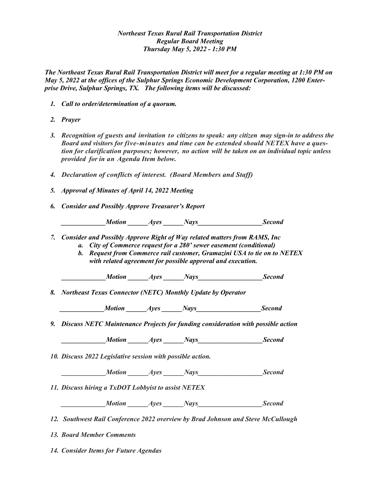## *Northeast Texas Rural Rail Transportation District Regular Board Meeting Thursday May 5, 2022 - 1:30 PM*

*The Northeast Texas Rural Rail Transportation District will meet for a regular meeting at 1:30 PM on May 5, 2022 at the offices of the Sulphur Springs Economic Development Corporation, 1200 Enterprise Drive, Sulphur Springs, TX. The following items will be discussed:*

- *1. Call to order/determination of a quorum.*
- *2. Prayer*
- *3. Recognition of guests and invitation to citizens to speak: any citizen may sign-in to address the Board and visitors for five-minutes and time can be extended should NETEX have a question for clarification purposes; however, no action will be taken on an individual topic unless provided for in an Agenda Item below.*
- *4. Declaration of conflicts of interest. (Board Members and Staff)*
- *5. Approval of Minutes of April 14, 2022 Meeting*
- *6. Consider and Possibly Approve Treasurer's Report*

*A* Motion *Ayes Nays* Second

- *7. Consider and Possibly Approve Right of Way related matters from RAMS, Inc*
	- *a. City of Commerce request for a 280' sewer easement (conditional)*
	- *b. Request from Commerce rail customer, Gramazini USA to tie on to NETEX with related agreement for possible approval and execution.*

 *\_\_\_\_\_\_\_\_\_\_\_\_\_Motion \_\_\_\_\_\_Ayes \_\_\_\_\_\_Nays\_\_\_\_\_\_\_\_\_\_\_\_\_\_\_\_\_\_\_Second*

*8. Northeast Texas Connector (NETC) Monthly Update by Operator*

*A* Motion *Ayes Nays* Second

*9. Discuss NETC Maintenance Projects for funding consideration with possible action*

*Motion Ayes Nays* Second

*10. Discuss 2022 Legislative session with possible action.*

*Motion Ayes Nays* Second

*11. Discuss hiring a TxDOT Lobbyist to assist NETEX* 

*A Ayes Nays* Second

*12. Southwest Rail Conference 2022 overview by Brad Johnson and Steve McCullough*

*13. Board Member Comments*

*14. Consider Items for Future Agendas*